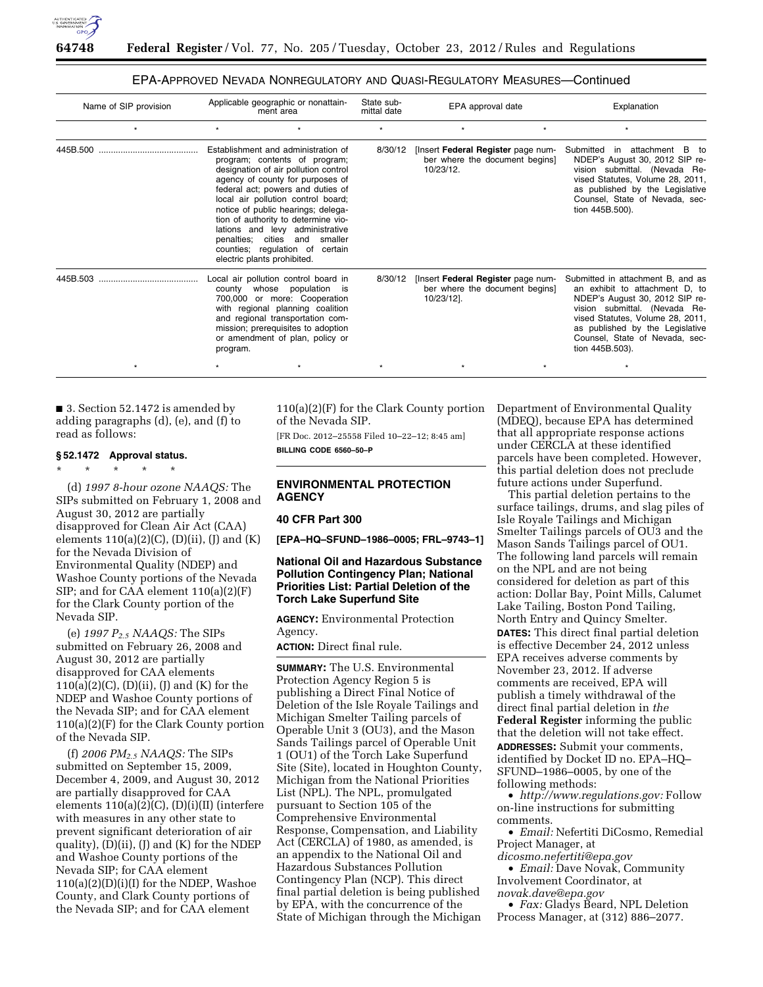

### EPA-APPROVED NEVADA NONREGULATORY AND QUASI-REGULATORY MEASURES—Continued

| Name of SIP provision | Applicable geographic or nonattain-<br>ment area |                                                                                                                                                                                                                                                                                                                                                                                                                                                   | State sub-<br>mittal date | EPA approval date                                                                  |         | Explanation                                                                                                                                                                                                                                                        |  |
|-----------------------|--------------------------------------------------|---------------------------------------------------------------------------------------------------------------------------------------------------------------------------------------------------------------------------------------------------------------------------------------------------------------------------------------------------------------------------------------------------------------------------------------------------|---------------------------|------------------------------------------------------------------------------------|---------|--------------------------------------------------------------------------------------------------------------------------------------------------------------------------------------------------------------------------------------------------------------------|--|
| $\star$               | $\star$                                          | $\star$                                                                                                                                                                                                                                                                                                                                                                                                                                           | $\star$                   | $\bullet$                                                                          | $\star$ | $\star$                                                                                                                                                                                                                                                            |  |
| 445B.500              |                                                  | Establishment and administration of<br>program; contents of program;<br>designation of air pollution control<br>agency of county for purposes of<br>federal act; powers and duties of<br>local air pollution control board;<br>notice of public hearings; delega-<br>tion of authority to determine vio-<br>lations and levy administrative<br>penalties; cities and<br>smaller<br>counties; regulation of certain<br>electric plants prohibited. | 8/30/12                   | [Insert Federal Register page num-<br>ber where the document begins]<br>10/23/12.  |         | Submitted<br>attachment<br>B to<br>in<br>NDEP's August 30, 2012 SIP re-<br>vision submittal. (Nevada Re-<br>vised Statutes, Volume 28, 2011,<br>as published by the Legislative<br>Counsel, State of Nevada, sec-<br>tion 445B.500).                               |  |
| 445B.503              | program.                                         | Local air pollution control board in<br>county whose population is<br>700,000 or more: Cooperation<br>with regional planning coalition<br>and regional transportation com-<br>mission; prerequisites to adoption<br>or amendment of plan, policy or                                                                                                                                                                                               | 8/30/12                   | [Insert Federal Register page num-<br>ber where the document begins]<br>10/23/12]. |         | Submitted in attachment B, and as<br>an exhibit to attachment D, to<br>NDEP's August 30, 2012 SIP re-<br>vision submittal. (Nevada Re-<br>vised Statutes, Volume 28, 2011,<br>as published by the Legislative<br>Counsel, State of Nevada, sec-<br>tion 445B.503). |  |
|                       |                                                  |                                                                                                                                                                                                                                                                                                                                                                                                                                                   |                           |                                                                                    |         |                                                                                                                                                                                                                                                                    |  |

■ 3. Section 52.1472 is amended by adding paragraphs (d), (e), and (f) to read as follows:

#### **§ 52.1472 Approval status.**

\* \* \* \* \* (d) *1997 8-hour ozone NAAQS:* The SIPs submitted on February 1, 2008 and August 30, 2012 are partially disapproved for Clean Air Act (CAA) elements  $110(a)(2)(C)$ ,  $(D)(ii)$ ,  $(J)$  and  $(K)$ for the Nevada Division of Environmental Quality (NDEP) and Washoe County portions of the Nevada SIP; and for CAA element 110(a)(2)(F) for the Clark County portion of the Nevada SIP.

(e) *1997 P2.5 NAAQS:* The SIPs submitted on February 26, 2008 and August 30, 2012 are partially disapproved for CAA elements 110(a)(2)(C), (D)(ii), (J) and (K) for the NDEP and Washoe County portions of the Nevada SIP; and for CAA element 110(a)(2)(F) for the Clark County portion of the Nevada SIP.

(f) *2006 PM2.5 NAAQS:* The SIPs submitted on September 15, 2009, December 4, 2009, and August 30, 2012 are partially disapproved for CAA elements 110(a)(2)(C), (D)(i)(II) (interfere with measures in any other state to prevent significant deterioration of air quality), (D)(ii), (J) and (K) for the NDEP and Washoe County portions of the Nevada SIP; for CAA element 110(a)(2)(D)(i)(I) for the NDEP, Washoe County, and Clark County portions of the Nevada SIP; and for CAA element

110(a)(2)(F) for the Clark County portion of the Nevada SIP.

[FR Doc. 2012–25558 Filed 10–22–12; 8:45 am] **BILLING CODE 6560–50–P** 

## **ENVIRONMENTAL PROTECTION AGENCY**

### **40 CFR Part 300**

**[EPA–HQ–SFUND–1986–0005; FRL–9743–1]** 

### **National Oil and Hazardous Substance Pollution Contingency Plan; National Priorities List: Partial Deletion of the Torch Lake Superfund Site**

**AGENCY:** Environmental Protection Agency.

**ACTION:** Direct final rule.

**SUMMARY:** The U.S. Environmental Protection Agency Region 5 is publishing a Direct Final Notice of Deletion of the Isle Royale Tailings and Michigan Smelter Tailing parcels of Operable Unit 3 (OU3), and the Mason Sands Tailings parcel of Operable Unit 1 (OU1) of the Torch Lake Superfund Site (Site), located in Houghton County, Michigan from the National Priorities List (NPL). The NPL, promulgated pursuant to Section 105 of the Comprehensive Environmental Response, Compensation, and Liability Act (CERCLA) of 1980, as amended, is an appendix to the National Oil and Hazardous Substances Pollution Contingency Plan (NCP). This direct final partial deletion is being published by EPA, with the concurrence of the State of Michigan through the Michigan

Department of Environmental Quality (MDEQ), because EPA has determined that all appropriate response actions under CERCLA at these identified parcels have been completed. However, this partial deletion does not preclude future actions under Superfund.

This partial deletion pertains to the surface tailings, drums, and slag piles of Isle Royale Tailings and Michigan Smelter Tailings parcels of OU3 and the Mason Sands Tailings parcel of OU1. The following land parcels will remain on the NPL and are not being considered for deletion as part of this action: Dollar Bay, Point Mills, Calumet Lake Tailing, Boston Pond Tailing, North Entry and Quincy Smelter. **DATES:** This direct final partial deletion is effective December 24, 2012 unless EPA receives adverse comments by November 23, 2012. If adverse comments are received, EPA will publish a timely withdrawal of the direct final partial deletion in *the*  **Federal Register** informing the public that the deletion will not take effect. **ADDRESSES:** Submit your comments, identified by Docket ID no. EPA–HQ– SFUND–1986–0005, by one of the following methods:

• *[http://www.regulations.gov:](http://www.regulations.gov)* Follow on-line instructions for submitting comments.

• *Email:* Nefertiti DiCosmo, Remedial Project Manager, at

*[dicosmo.nefertiti@epa.gov](mailto:dicosmo.nefertiti@epa.gov)* 

• *Email:* Dave Novak, Community Involvement Coordinator, at *[novak.dave@epa.gov](mailto:novak.dave@epa.gov)* 

• *Fax:* Gladys Beard, NPL Deletion Process Manager, at (312) 886–2077.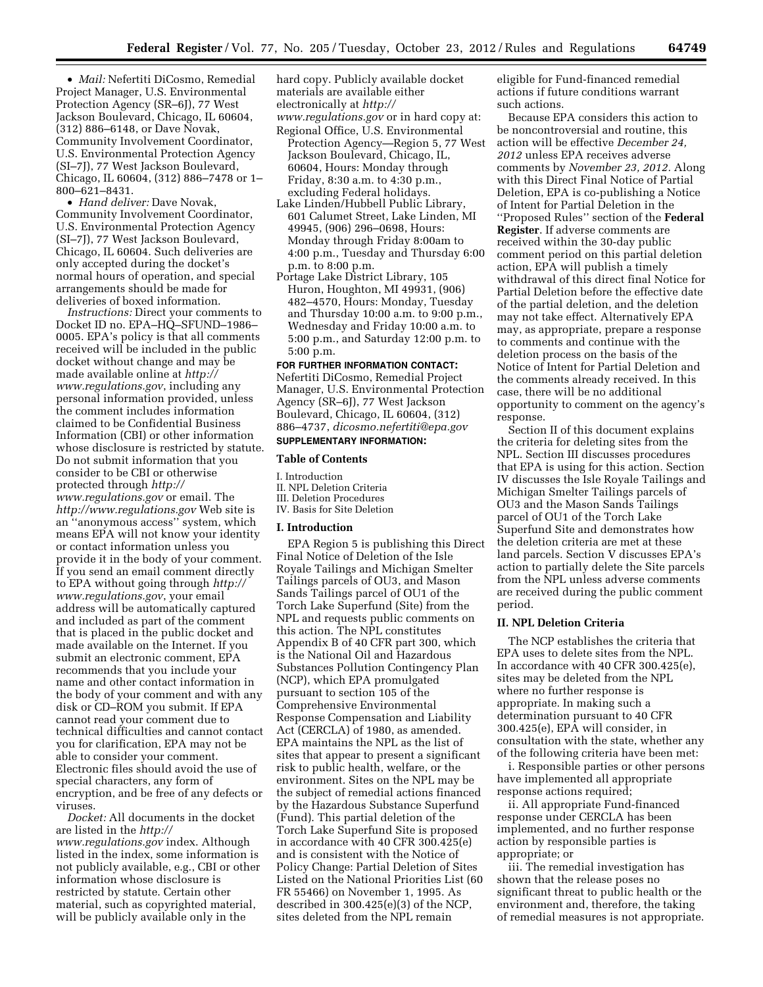• *Mail:* Nefertiti DiCosmo, Remedial Project Manager, U.S. Environmental Protection Agency (SR–6J), 77 West Jackson Boulevard, Chicago, IL 60604, (312) 886–6148, or Dave Novak, Community Involvement Coordinator, U.S. Environmental Protection Agency (SI–7J), 77 West Jackson Boulevard, Chicago, IL 60604, (312) 886–7478 or 1– 800–621–8431.

• *Hand deliver:* Dave Novak, Community Involvement Coordinator, U.S. Environmental Protection Agency (SI–7J), 77 West Jackson Boulevard, Chicago, IL 60604. Such deliveries are only accepted during the docket's normal hours of operation, and special arrangements should be made for deliveries of boxed information.

*Instructions:* Direct your comments to Docket ID no. EPA–HQ–SFUND–1986– 0005. EPA's policy is that all comments received will be included in the public docket without change and may be made available online at *[http://](http://www.regulations.gov)  [www.regulations.gov](http://www.regulations.gov)*, including any personal information provided, unless the comment includes information claimed to be Confidential Business Information (CBI) or other information whose disclosure is restricted by statute. Do not submit information that you consider to be CBI or otherwise protected through *[http://](http://www.regulations.gov)  [www.regulations.gov](http://www.regulations.gov)* or email. The *<http://www.regulations.gov>* Web site is an ''anonymous access'' system, which means EPA will not know your identity or contact information unless you provide it in the body of your comment. If you send an email comment directly to EPA without going through *[http://](http://www.regulations.gov) [www.regulations.gov](http://www.regulations.gov)*, your email address will be automatically captured and included as part of the comment that is placed in the public docket and made available on the Internet. If you submit an electronic comment, EPA recommends that you include your name and other contact information in the body of your comment and with any disk or CD–ROM you submit. If EPA cannot read your comment due to technical difficulties and cannot contact you for clarification, EPA may not be able to consider your comment. Electronic files should avoid the use of special characters, any form of encryption, and be free of any defects or viruses.

*Docket:* All documents in the docket are listed in the *[http://](http://www.regulations.gov) [www.regulations.gov](http://www.regulations.gov)* index. Although listed in the index, some information is not publicly available, e.g., CBI or other information whose disclosure is restricted by statute. Certain other material, such as copyrighted material, will be publicly available only in the

hard copy. Publicly available docket materials are available either electronically at *[http://](http://www.regulations.gov) [www.regulations.gov](http://www.regulations.gov)* or in hard copy at:

- Regional Office, U.S. Environmental Protection Agency—Region 5, 77 West Jackson Boulevard, Chicago, IL, 60604, Hours: Monday through Friday, 8:30 a.m. to 4:30 p.m., excluding Federal holidays.
- Lake Linden/Hubbell Public Library, 601 Calumet Street, Lake Linden, MI 49945, (906) 296–0698, Hours: Monday through Friday 8:00am to 4:00 p.m., Tuesday and Thursday 6:00 p.m. to 8:00 p.m.
- Portage Lake District Library, 105 Huron, Houghton, MI 49931, (906) 482–4570, Hours: Monday, Tuesday and Thursday 10:00 a.m. to 9:00 p.m., Wednesday and Friday 10:00 a.m. to 5:00 p.m., and Saturday 12:00 p.m. to 5:00 p.m.

### **FOR FURTHER INFORMATION CONTACT:**  Nefertiti DiCosmo, Remedial Project Manager, U.S. Environmental Protection Agency (SR–6J), 77 West Jackson Boulevard, Chicago, IL 60604, (312) 886–4737, *[dicosmo.nefertiti@epa.gov](mailto:dicosmo.nefertiti@epa.gov)*

# **SUPPLEMENTARY INFORMATION:**

### **Table of Contents**

I. Introduction II. NPL Deletion Criteria III. Deletion Procedures IV. Basis for Site Deletion

#### **I. Introduction**

EPA Region 5 is publishing this Direct Final Notice of Deletion of the Isle Royale Tailings and Michigan Smelter Tailings parcels of OU3, and Mason Sands Tailings parcel of OU1 of the Torch Lake Superfund (Site) from the NPL and requests public comments on this action. The NPL constitutes Appendix B of 40 CFR part 300, which is the National Oil and Hazardous Substances Pollution Contingency Plan (NCP), which EPA promulgated pursuant to section 105 of the Comprehensive Environmental Response Compensation and Liability Act (CERCLA) of 1980, as amended. EPA maintains the NPL as the list of sites that appear to present a significant risk to public health, welfare, or the environment. Sites on the NPL may be the subject of remedial actions financed by the Hazardous Substance Superfund (Fund). This partial deletion of the Torch Lake Superfund Site is proposed in accordance with 40 CFR 300.425(e) and is consistent with the Notice of Policy Change: Partial Deletion of Sites Listed on the National Priorities List (60 FR 55466) on November 1, 1995. As described in 300.425(e)(3) of the NCP, sites deleted from the NPL remain

eligible for Fund-financed remedial actions if future conditions warrant such actions.

Because EPA considers this action to be noncontroversial and routine, this action will be effective *December 24, 2012* unless EPA receives adverse comments by *November 23, 2012.* Along with this Direct Final Notice of Partial Deletion, EPA is co-publishing a Notice of Intent for Partial Deletion in the ''Proposed Rules'' section of the **Federal Register**. If adverse comments are received within the 30-day public comment period on this partial deletion action, EPA will publish a timely withdrawal of this direct final Notice for Partial Deletion before the effective date of the partial deletion, and the deletion may not take effect. Alternatively EPA may, as appropriate, prepare a response to comments and continue with the deletion process on the basis of the Notice of Intent for Partial Deletion and the comments already received. In this case, there will be no additional opportunity to comment on the agency's response.

Section II of this document explains the criteria for deleting sites from the NPL. Section III discusses procedures that EPA is using for this action. Section IV discusses the Isle Royale Tailings and Michigan Smelter Tailings parcels of OU3 and the Mason Sands Tailings parcel of OU1 of the Torch Lake Superfund Site and demonstrates how the deletion criteria are met at these land parcels. Section V discusses EPA's action to partially delete the Site parcels from the NPL unless adverse comments are received during the public comment period.

#### **II. NPL Deletion Criteria**

The NCP establishes the criteria that EPA uses to delete sites from the NPL. In accordance with 40 CFR 300.425(e), sites may be deleted from the NPL where no further response is appropriate. In making such a determination pursuant to 40 CFR 300.425(e), EPA will consider, in consultation with the state, whether any of the following criteria have been met:

i. Responsible parties or other persons have implemented all appropriate response actions required;

ii. All appropriate Fund-financed response under CERCLA has been implemented, and no further response action by responsible parties is appropriate; or

iii. The remedial investigation has shown that the release poses no significant threat to public health or the environment and, therefore, the taking of remedial measures is not appropriate.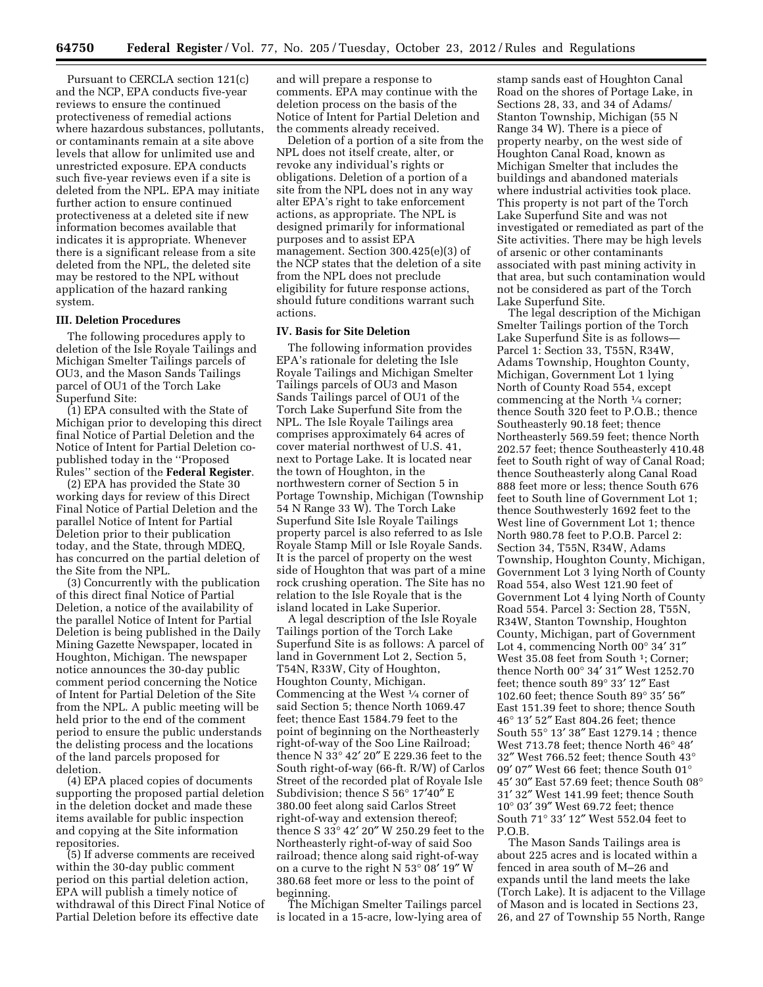Pursuant to CERCLA section 121(c) and the NCP, EPA conducts five-year reviews to ensure the continued protectiveness of remedial actions where hazardous substances, pollutants, or contaminants remain at a site above levels that allow for unlimited use and unrestricted exposure. EPA conducts such five-year reviews even if a site is deleted from the NPL. EPA may initiate further action to ensure continued protectiveness at a deleted site if new information becomes available that indicates it is appropriate. Whenever there is a significant release from a site deleted from the NPL, the deleted site may be restored to the NPL without application of the hazard ranking system.

#### **III. Deletion Procedures**

The following procedures apply to deletion of the Isle Royale Tailings and Michigan Smelter Tailings parcels of OU3, and the Mason Sands Tailings parcel of OU1 of the Torch Lake Superfund Site:

(1) EPA consulted with the State of Michigan prior to developing this direct final Notice of Partial Deletion and the Notice of Intent for Partial Deletion copublished today in the ''Proposed Rules'' section of the **Federal Register**.

(2) EPA has provided the State 30 working days for review of this Direct Final Notice of Partial Deletion and the parallel Notice of Intent for Partial Deletion prior to their publication today, and the State, through MDEQ, has concurred on the partial deletion of the Site from the NPL.

(3) Concurrently with the publication of this direct final Notice of Partial Deletion, a notice of the availability of the parallel Notice of Intent for Partial Deletion is being published in the Daily Mining Gazette Newspaper, located in Houghton, Michigan. The newspaper notice announces the 30-day public comment period concerning the Notice of Intent for Partial Deletion of the Site from the NPL. A public meeting will be held prior to the end of the comment period to ensure the public understands the delisting process and the locations of the land parcels proposed for deletion.

(4) EPA placed copies of documents supporting the proposed partial deletion in the deletion docket and made these items available for public inspection and copying at the Site information repositories.

(5) If adverse comments are received within the 30-day public comment period on this partial deletion action, EPA will publish a timely notice of withdrawal of this Direct Final Notice of Partial Deletion before its effective date

and will prepare a response to comments. EPA may continue with the deletion process on the basis of the Notice of Intent for Partial Deletion and the comments already received.

Deletion of a portion of a site from the NPL does not itself create, alter, or revoke any individual's rights or obligations. Deletion of a portion of a site from the NPL does not in any way alter EPA's right to take enforcement actions, as appropriate. The NPL is designed primarily for informational purposes and to assist EPA management. Section 300.425(e)(3) of the NCP states that the deletion of a site from the NPL does not preclude eligibility for future response actions, should future conditions warrant such actions.

#### **IV. Basis for Site Deletion**

The following information provides EPA's rationale for deleting the Isle Royale Tailings and Michigan Smelter Tailings parcels of OU3 and Mason Sands Tailings parcel of OU1 of the Torch Lake Superfund Site from the NPL. The Isle Royale Tailings area comprises approximately 64 acres of cover material northwest of U.S. 41, next to Portage Lake. It is located near the town of Houghton, in the northwestern corner of Section 5 in Portage Township, Michigan (Township 54 N Range 33 W). The Torch Lake Superfund Site Isle Royale Tailings property parcel is also referred to as Isle Royale Stamp Mill or Isle Royale Sands. It is the parcel of property on the west side of Houghton that was part of a mine rock crushing operation. The Site has no relation to the Isle Royale that is the island located in Lake Superior.

A legal description of the Isle Royale Tailings portion of the Torch Lake Superfund Site is as follows: A parcel of land in Government Lot 2, Section 5, T54N, R33W, City of Houghton, Houghton County, Michigan. Commencing at the West 1⁄4 corner of said Section 5; thence North 1069.47 feet; thence East 1584.79 feet to the point of beginning on the Northeasterly right-of-way of the Soo Line Railroad; thence N 33° 42′ 20″ E 229.36 feet to the South right-of-way (66-ft. R/W) of Carlos Street of the recorded plat of Royale Isle Subdivision; thence S 56° 17′40″ E 380.00 feet along said Carlos Street right-of-way and extension thereof; thence S 33° 42′ 20″ W 250.29 feet to the Northeasterly right-of-way of said Soo railroad; thence along said right-of-way on a curve to the right N 53° 08′ 19″ W 380.68 feet more or less to the point of beginning.

The Michigan Smelter Tailings parcel is located in a 15-acre, low-lying area of

stamp sands east of Houghton Canal Road on the shores of Portage Lake, in Sections 28, 33, and 34 of Adams/ Stanton Township, Michigan (55 N Range 34 W). There is a piece of property nearby, on the west side of Houghton Canal Road, known as Michigan Smelter that includes the buildings and abandoned materials where industrial activities took place. This property is not part of the Torch Lake Superfund Site and was not investigated or remediated as part of the Site activities. There may be high levels of arsenic or other contaminants associated with past mining activity in that area, but such contamination would not be considered as part of the Torch Lake Superfund Site.

The legal description of the Michigan Smelter Tailings portion of the Torch Lake Superfund Site is as follows— Parcel 1: Section 33, T55N, R34W, Adams Township, Houghton County, Michigan, Government Lot 1 lying North of County Road 554, except commencing at the North 1⁄4 corner; thence South 320 feet to P.O.B.; thence Southeasterly 90.18 feet; thence Northeasterly 569.59 feet; thence North 202.57 feet; thence Southeasterly 410.48 feet to South right of way of Canal Road; thence Southeasterly along Canal Road 888 feet more or less; thence South 676 feet to South line of Government Lot 1; thence Southwesterly 1692 feet to the West line of Government Lot 1; thence North 980.78 feet to P.O.B. Parcel 2: Section 34, T55N, R34W, Adams Township, Houghton County, Michigan, Government Lot 3 lying North of County Road 554, also West 121.90 feet of Government Lot 4 lying North of County Road 554. Parcel 3: Section 28, T55N, R34W, Stanton Township, Houghton County, Michigan, part of Government Lot 4, commencing North 00° 34′ 31″ West 35.08 feet from South <sup>1</sup>; Corner; thence North 00° 34′ 31″ West 1252.70 feet; thence south 89° 33′ 12″ East 102.60 feet; thence South 89° 35′ 56″ East 151.39 feet to shore; thence South 46° 13′ 52″ East 804.26 feet; thence South 55° 13′ 38″ East 1279.14 ; thence West 713.78 feet; thence North 46° 48′ 32″ West 766.52 feet; thence South 43° 09′ 07″ West 66 feet; thence South 01° 45′ 30″ East 57.69 feet; thence South 08° 31′ 32″ West 141.99 feet; thence South 10° 03′ 39″ West 69.72 feet; thence South 71° 33′ 12″ West 552.04 feet to P.O.B.

The Mason Sands Tailings area is about 225 acres and is located within a fenced in area south of M–26 and expands until the land meets the lake (Torch Lake). It is adjacent to the Village of Mason and is located in Sections 23, 26, and 27 of Township 55 North, Range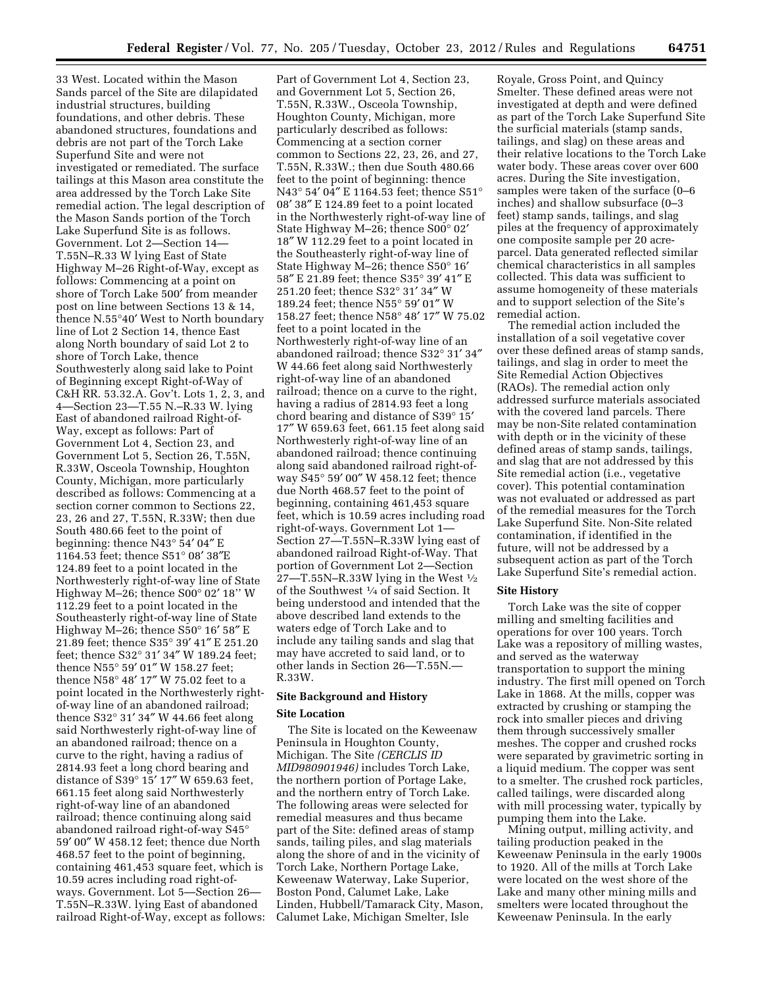33 West. Located within the Mason Sands parcel of the Site are dilapidated industrial structures, building foundations, and other debris. These abandoned structures, foundations and debris are not part of the Torch Lake Superfund Site and were not investigated or remediated. The surface tailings at this Mason area constitute the area addressed by the Torch Lake Site remedial action. The legal description of the Mason Sands portion of the Torch Lake Superfund Site is as follows. Government. Lot 2—Section 14— T.55N–R.33 W lying East of State Highway M–26 Right-of-Way, except as follows: Commencing at a point on shore of Torch Lake 500′ from meander post on line between Sections 13 & 14, thence N.55°40′ West to North boundary line of Lot 2 Section 14, thence East along North boundary of said Lot 2 to shore of Torch Lake, thence Southwesterly along said lake to Point of Beginning except Right-of-Way of C&H RR. 53.32.A. Gov't. Lots 1, 2, 3, and 4—Section 23—T.55 N.–R.33 W. lying East of abandoned railroad Right-of-Way, except as follows: Part of Government Lot 4, Section 23, and Government Lot 5, Section 26, T.55N, R.33W, Osceola Township, Houghton County, Michigan, more particularly described as follows: Commencing at a section corner common to Sections 22, 23, 26 and 27, T.55N, R.33W; then due South 480.66 feet to the point of beginning: thence N43° 54′ 04″ E 1164.53 feet; thence S51° 08′ 38″E 124.89 feet to a point located in the Northwesterly right-of-way line of State Highway M–26; thence S00° 02′ 18'' W 112.29 feet to a point located in the Southeasterly right-of-way line of State Highway M–26; thence S50° 16′ 58″ E 21.89 feet; thence S35° 39′ 41″ E 251.20 feet; thence S32° 31′ 34″ W 189.24 feet; thence N55° 59′ 01″ W 158.27 feet; thence N58° 48′ 17″ W 75.02 feet to a point located in the Northwesterly rightof-way line of an abandoned railroad; thence S32° 31′ 34″ W 44.66 feet along said Northwesterly right-of-way line of an abandoned railroad; thence on a curve to the right, having a radius of 2814.93 feet a long chord bearing and distance of S39° 15′ 17″ W 659.63 feet, 661.15 feet along said Northwesterly right-of-way line of an abandoned railroad; thence continuing along said abandoned railroad right-of-way S45° 59′ 00″ W 458.12 feet; thence due North 468.57 feet to the point of beginning, containing 461,453 square feet, which is 10.59 acres including road right-ofways. Government. Lot 5—Section 26— T.55N–R.33W. lying East of abandoned railroad Right-of-Way, except as follows:

Part of Government Lot 4, Section 23, and Government Lot 5, Section 26, T.55N, R.33W., Osceola Township, Houghton County, Michigan, more particularly described as follows: Commencing at a section corner common to Sections 22, 23, 26, and 27, T.55N, R.33W.; then due South 480.66 feet to the point of beginning: thence N43° 54′ 04″ E 1164.53 feet; thence S51° 08′ 38″ E 124.89 feet to a point located in the Northwesterly right-of-way line of State Highway M–26; thence S00° 02′ 18″ W 112.29 feet to a point located in the Southeasterly right-of-way line of State Highway M–26; thence S50° 16′ 58″ E 21.89 feet; thence S35° 39′ 41″ E 251.20 feet; thence S32° 31′ 34″ W 189.24 feet; thence N55° 59′ 01″ W 158.27 feet; thence N58° 48′ 17″ W 75.02 feet to a point located in the Northwesterly right-of-way line of an abandoned railroad; thence S32° 31′ 34″ W 44.66 feet along said Northwesterly right-of-way line of an abandoned railroad; thence on a curve to the right, having a radius of 2814.93 feet a long chord bearing and distance of S39° 15′ 17″ W 659.63 feet, 661.15 feet along said Northwesterly right-of-way line of an abandoned railroad; thence continuing along said abandoned railroad right-ofway S45° 59′ 00″ W 458.12 feet; thence due North 468.57 feet to the point of beginning, containing 461,453 square feet, which is 10.59 acres including road right-of-ways. Government Lot 1— Section 27—T.55N–R.33W lying east of abandoned railroad Right-of-Way. That portion of Government Lot 2—Section 27—T.55N–R.33W lying in the West  $\frac{1}{2}$ of the Southwest 1⁄4 of said Section. It being understood and intended that the above described land extends to the waters edge of Torch Lake and to include any tailing sands and slag that may have accreted to said land, or to other lands in Section 26—T.55N.— R.33W.

### **Site Background and History**

# **Site Location**

The Site is located on the Keweenaw Peninsula in Houghton County, Michigan. The Site *(CERCLIS ID MID980901946)* includes Torch Lake, the northern portion of Portage Lake, and the northern entry of Torch Lake. The following areas were selected for remedial measures and thus became part of the Site: defined areas of stamp sands, tailing piles, and slag materials along the shore of and in the vicinity of Torch Lake, Northern Portage Lake, Keweenaw Waterway, Lake Superior, Boston Pond, Calumet Lake, Lake Linden, Hubbell/Tamarack City, Mason, Calumet Lake, Michigan Smelter, Isle

Royale, Gross Point, and Quincy Smelter. These defined areas were not investigated at depth and were defined as part of the Torch Lake Superfund Site the surficial materials (stamp sands, tailings, and slag) on these areas and their relative locations to the Torch Lake water body. These areas cover over 600 acres. During the Site investigation, samples were taken of the surface (0–6 inches) and shallow subsurface (0–3 feet) stamp sands, tailings, and slag piles at the frequency of approximately one composite sample per 20 acreparcel. Data generated reflected similar chemical characteristics in all samples collected. This data was sufficient to assume homogeneity of these materials and to support selection of the Site's remedial action.

The remedial action included the installation of a soil vegetative cover over these defined areas of stamp sands, tailings, and slag in order to meet the Site Remedial Action Objectives (RAOs). The remedial action only addressed surfurce materials associated with the covered land parcels. There may be non-Site related contamination with depth or in the vicinity of these defined areas of stamp sands, tailings, and slag that are not addressed by this Site remedial action (i.e., vegetative cover). This potential contamination was not evaluated or addressed as part of the remedial measures for the Torch Lake Superfund Site. Non-Site related contamination, if identified in the future, will not be addressed by a subsequent action as part of the Torch Lake Superfund Site's remedial action.

#### **Site History**

Torch Lake was the site of copper milling and smelting facilities and operations for over 100 years. Torch Lake was a repository of milling wastes, and served as the waterway transportation to support the mining industry. The first mill opened on Torch Lake in 1868. At the mills, copper was extracted by crushing or stamping the rock into smaller pieces and driving them through successively smaller meshes. The copper and crushed rocks were separated by gravimetric sorting in a liquid medium. The copper was sent to a smelter. The crushed rock particles, called tailings, were discarded along with mill processing water, typically by pumping them into the Lake.

Mining output, milling activity, and tailing production peaked in the Keweenaw Peninsula in the early 1900s to 1920. All of the mills at Torch Lake were located on the west shore of the Lake and many other mining mills and smelters were located throughout the Keweenaw Peninsula. In the early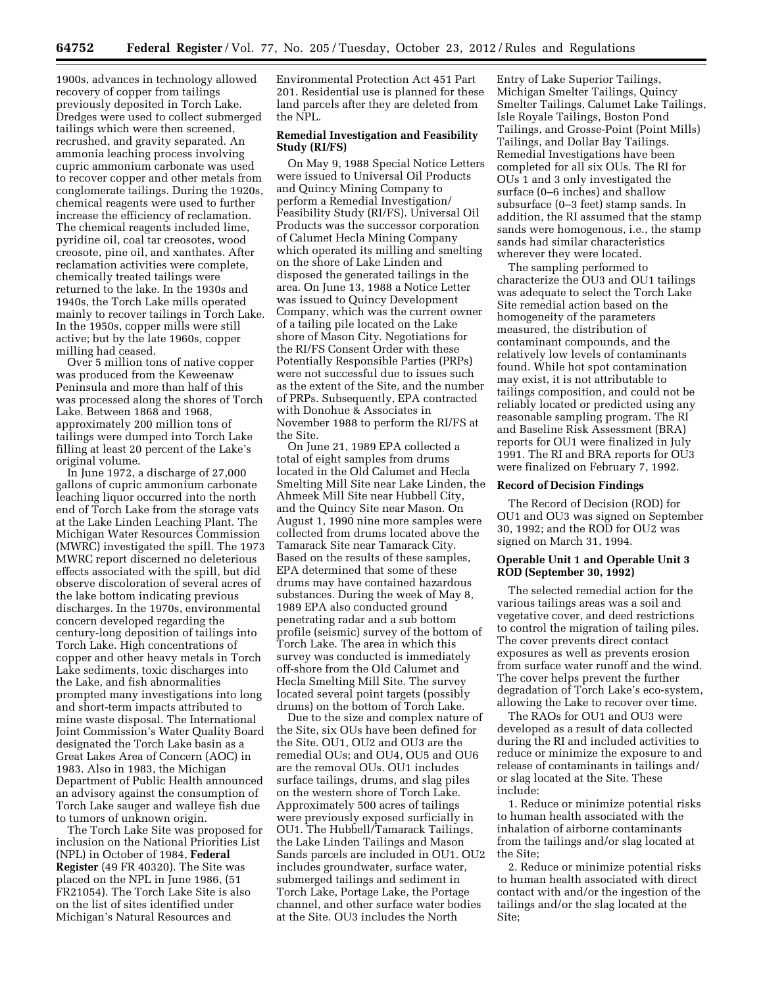1900s, advances in technology allowed recovery of copper from tailings previously deposited in Torch Lake. Dredges were used to collect submerged tailings which were then screened, recrushed, and gravity separated. An ammonia leaching process involving cupric ammonium carbonate was used to recover copper and other metals from conglomerate tailings. During the 1920s, chemical reagents were used to further increase the efficiency of reclamation. The chemical reagents included lime, pyridine oil, coal tar creosotes, wood creosote, pine oil, and xanthates. After reclamation activities were complete, chemically treated tailings were returned to the lake. In the 1930s and 1940s, the Torch Lake mills operated mainly to recover tailings in Torch Lake. In the 1950s, copper mills were still active; but by the late 1960s, copper milling had ceased.

Over 5 million tons of native copper was produced from the Keweenaw Peninsula and more than half of this was processed along the shores of Torch Lake. Between 1868 and 1968, approximately 200 million tons of tailings were dumped into Torch Lake filling at least 20 percent of the Lake's original volume.

In June 1972, a discharge of 27,000 gallons of cupric ammonium carbonate leaching liquor occurred into the north end of Torch Lake from the storage vats at the Lake Linden Leaching Plant. The Michigan Water Resources Commission (MWRC) investigated the spill. The 1973 MWRC report discerned no deleterious effects associated with the spill, but did observe discoloration of several acres of the lake bottom indicating previous discharges. In the 1970s, environmental concern developed regarding the century-long deposition of tailings into Torch Lake. High concentrations of copper and other heavy metals in Torch Lake sediments, toxic discharges into the Lake, and fish abnormalities prompted many investigations into long and short-term impacts attributed to mine waste disposal. The International Joint Commission's Water Quality Board designated the Torch Lake basin as a Great Lakes Area of Concern (AOC) in 1983. Also in 1983, the Michigan Department of Public Health announced an advisory against the consumption of Torch Lake sauger and walleye fish due to tumors of unknown origin.

The Torch Lake Site was proposed for inclusion on the National Priorities List (NPL) in October of 1984, **Federal Register** (49 FR 40320). The Site was placed on the NPL in June 1986, (51 FR21054). The Torch Lake Site is also on the list of sites identified under Michigan's Natural Resources and

Environmental Protection Act 451 Part 201. Residential use is planned for these land parcels after they are deleted from the NPL.

# **Remedial Investigation and Feasibility Study (RI/FS)**

On May 9, 1988 Special Notice Letters were issued to Universal Oil Products and Quincy Mining Company to perform a Remedial Investigation/ Feasibility Study (RI/FS). Universal Oil Products was the successor corporation of Calumet Hecla Mining Company which operated its milling and smelting on the shore of Lake Linden and disposed the generated tailings in the area. On June 13, 1988 a Notice Letter was issued to Quincy Development Company, which was the current owner of a tailing pile located on the Lake shore of Mason City. Negotiations for the RI/FS Consent Order with these Potentially Responsible Parties (PRPs) were not successful due to issues such as the extent of the Site, and the number of PRPs. Subsequently, EPA contracted with Donohue & Associates in November 1988 to perform the RI/FS at the Site.

On June 21, 1989 EPA collected a total of eight samples from drums located in the Old Calumet and Hecla Smelting Mill Site near Lake Linden, the Ahmeek Mill Site near Hubbell City, and the Quincy Site near Mason. On August 1, 1990 nine more samples were collected from drums located above the Tamarack Site near Tamarack City. Based on the results of these samples, EPA determined that some of these drums may have contained hazardous substances. During the week of May 8, 1989 EPA also conducted ground penetrating radar and a sub bottom profile (seismic) survey of the bottom of Torch Lake. The area in which this survey was conducted is immediately off-shore from the Old Calumet and Hecla Smelting Mill Site. The survey located several point targets (possibly drums) on the bottom of Torch Lake.

Due to the size and complex nature of the Site, six OUs have been defined for the Site. OU1, OU2 and OU3 are the remedial OUs; and OU4, OU5 and OU6 are the removal OUs. OU1 includes surface tailings, drums, and slag piles on the western shore of Torch Lake. Approximately 500 acres of tailings were previously exposed surficially in OU1. The Hubbell/Tamarack Tailings, the Lake Linden Tailings and Mason Sands parcels are included in OU1. OU2 includes groundwater, surface water, submerged tailings and sediment in Torch Lake, Portage Lake, the Portage channel, and other surface water bodies at the Site. OU3 includes the North

Entry of Lake Superior Tailings, Michigan Smelter Tailings, Quincy Smelter Tailings, Calumet Lake Tailings, Isle Royale Tailings, Boston Pond Tailings, and Grosse-Point (Point Mills) Tailings, and Dollar Bay Tailings. Remedial Investigations have been completed for all six OUs. The RI for OUs 1 and 3 only investigated the surface (0–6 inches) and shallow subsurface (0–3 feet) stamp sands. In addition, the RI assumed that the stamp sands were homogenous, i.e., the stamp sands had similar characteristics wherever they were located.

The sampling performed to characterize the OU3 and OU1 tailings was adequate to select the Torch Lake Site remedial action based on the homogeneity of the parameters measured, the distribution of contaminant compounds, and the relatively low levels of contaminants found. While hot spot contamination may exist, it is not attributable to tailings composition, and could not be reliably located or predicted using any reasonable sampling program. The RI and Baseline Risk Assessment (BRA) reports for OU1 were finalized in July 1991. The RI and BRA reports for OU3 were finalized on February 7, 1992.

### **Record of Decision Findings**

The Record of Decision (ROD) for OU1 and OU3 was signed on September 30, 1992; and the ROD for OU2 was signed on March 31, 1994.

### **Operable Unit 1 and Operable Unit 3 ROD (September 30, 1992)**

The selected remedial action for the various tailings areas was a soil and vegetative cover, and deed restrictions to control the migration of tailing piles. The cover prevents direct contact exposures as well as prevents erosion from surface water runoff and the wind. The cover helps prevent the further degradation of Torch Lake's eco-system, allowing the Lake to recover over time.

The RAOs for OU1 and OU3 were developed as a result of data collected during the RI and included activities to reduce or minimize the exposure to and release of contaminants in tailings and/ or slag located at the Site. These include:

1. Reduce or minimize potential risks to human health associated with the inhalation of airborne contaminants from the tailings and/or slag located at the Site;

2. Reduce or minimize potential risks to human health associated with direct contact with and/or the ingestion of the tailings and/or the slag located at the Site;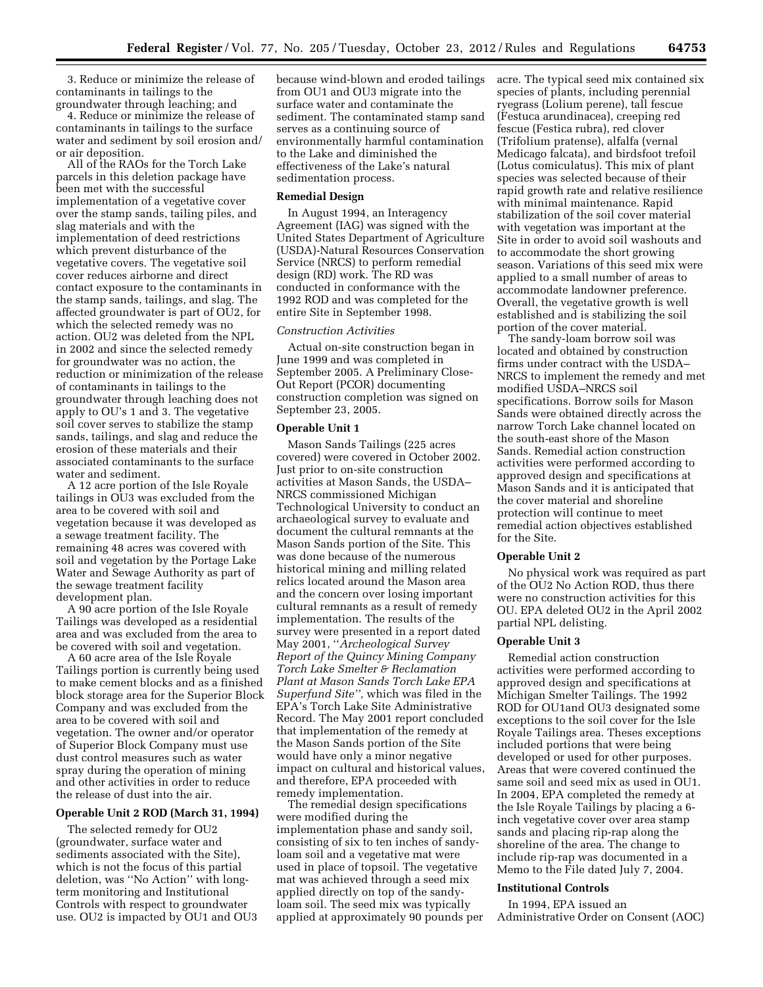3. Reduce or minimize the release of contaminants in tailings to the groundwater through leaching; and

4. Reduce or minimize the release of contaminants in tailings to the surface water and sediment by soil erosion and/ or air deposition.

All of the RAOs for the Torch Lake parcels in this deletion package have been met with the successful implementation of a vegetative cover over the stamp sands, tailing piles, and slag materials and with the implementation of deed restrictions which prevent disturbance of the vegetative covers. The vegetative soil cover reduces airborne and direct contact exposure to the contaminants in the stamp sands, tailings, and slag. The affected groundwater is part of OU2, for which the selected remedy was no action. OU2 was deleted from the NPL in 2002 and since the selected remedy for groundwater was no action, the reduction or minimization of the release of contaminants in tailings to the groundwater through leaching does not apply to OU's 1 and 3. The vegetative soil cover serves to stabilize the stamp sands, tailings, and slag and reduce the erosion of these materials and their associated contaminants to the surface water and sediment.

A 12 acre portion of the Isle Royale tailings in OU3 was excluded from the area to be covered with soil and vegetation because it was developed as a sewage treatment facility. The remaining 48 acres was covered with soil and vegetation by the Portage Lake Water and Sewage Authority as part of the sewage treatment facility development plan.

A 90 acre portion of the Isle Royale Tailings was developed as a residential area and was excluded from the area to be covered with soil and vegetation.

A 60 acre area of the Isle Royale Tailings portion is currently being used to make cement blocks and as a finished block storage area for the Superior Block Company and was excluded from the area to be covered with soil and vegetation. The owner and/or operator of Superior Block Company must use dust control measures such as water spray during the operation of mining and other activities in order to reduce the release of dust into the air.

### **Operable Unit 2 ROD (March 31, 1994)**

The selected remedy for OU2 (groundwater, surface water and sediments associated with the Site), which is not the focus of this partial deletion, was ''No Action'' with longterm monitoring and Institutional Controls with respect to groundwater use. OU2 is impacted by OU1 and OU3 because wind-blown and eroded tailings from OU1 and OU3 migrate into the surface water and contaminate the sediment. The contaminated stamp sand serves as a continuing source of environmentally harmful contamination to the Lake and diminished the effectiveness of the Lake's natural sedimentation process.

### **Remedial Design**

In August 1994, an Interagency Agreement (IAG) was signed with the United States Department of Agriculture (USDA)-Natural Resources Conservation Service (NRCS) to perform remedial design (RD) work. The RD was conducted in conformance with the 1992 ROD and was completed for the entire Site in September 1998.

#### *Construction Activities*

Actual on-site construction began in June 1999 and was completed in September 2005. A Preliminary Close-Out Report (PCOR) documenting construction completion was signed on September 23, 2005.

#### **Operable Unit 1**

Mason Sands Tailings (225 acres covered) were covered in October 2002. Just prior to on-site construction activities at Mason Sands, the USDA– NRCS commissioned Michigan Technological University to conduct an archaeological survey to evaluate and document the cultural remnants at the Mason Sands portion of the Site. This was done because of the numerous historical mining and milling related relics located around the Mason area and the concern over losing important cultural remnants as a result of remedy implementation. The results of the survey were presented in a report dated May 2001, ''*Archeological Survey Report of the Quincy Mining Company Torch Lake Smelter & Reclamation Plant at Mason Sands Torch Lake EPA Superfund Site'',* which was filed in the EPA's Torch Lake Site Administrative Record. The May 2001 report concluded that implementation of the remedy at the Mason Sands portion of the Site would have only a minor negative impact on cultural and historical values, and therefore, EPA proceeded with remedy implementation.

The remedial design specifications were modified during the implementation phase and sandy soil, consisting of six to ten inches of sandyloam soil and a vegetative mat were used in place of topsoil. The vegetative mat was achieved through a seed mix applied directly on top of the sandyloam soil. The seed mix was typically applied at approximately 90 pounds per acre. The typical seed mix contained six species of plants, including perennial ryegrass (Lolium perene), tall fescue (Festuca arundinacea), creeping red fescue (Festica rubra), red clover (Trifolium pratense), alfalfa (vernal Medicago falcata), and birdsfoot trefoil (Lotus comiculatus). This mix of plant species was selected because of their rapid growth rate and relative resilience with minimal maintenance. Rapid stabilization of the soil cover material with vegetation was important at the Site in order to avoid soil washouts and to accommodate the short growing season. Variations of this seed mix were applied to a small number of areas to accommodate landowner preference. Overall, the vegetative growth is well established and is stabilizing the soil portion of the cover material.

The sandy-loam borrow soil was located and obtained by construction firms under contract with the USDA– NRCS to implement the remedy and met modified USDA–NRCS soil specifications. Borrow soils for Mason Sands were obtained directly across the narrow Torch Lake channel located on the south-east shore of the Mason Sands. Remedial action construction activities were performed according to approved design and specifications at Mason Sands and it is anticipated that the cover material and shoreline protection will continue to meet remedial action objectives established for the Site.

#### **Operable Unit 2**

No physical work was required as part of the OU2 No Action ROD, thus there were no construction activities for this OU. EPA deleted OU2 in the April 2002 partial NPL delisting.

#### **Operable Unit 3**

Remedial action construction activities were performed according to approved design and specifications at Michigan Smelter Tailings. The 1992 ROD for OU1and OU3 designated some exceptions to the soil cover for the Isle Royale Tailings area. Theses exceptions included portions that were being developed or used for other purposes. Areas that were covered continued the same soil and seed mix as used in OU1. In 2004, EPA completed the remedy at the Isle Royale Tailings by placing a 6 inch vegetative cover over area stamp sands and placing rip-rap along the shoreline of the area. The change to include rip-rap was documented in a Memo to the File dated July 7, 2004.

### **Institutional Controls**

In 1994, EPA issued an Administrative Order on Consent (AOC)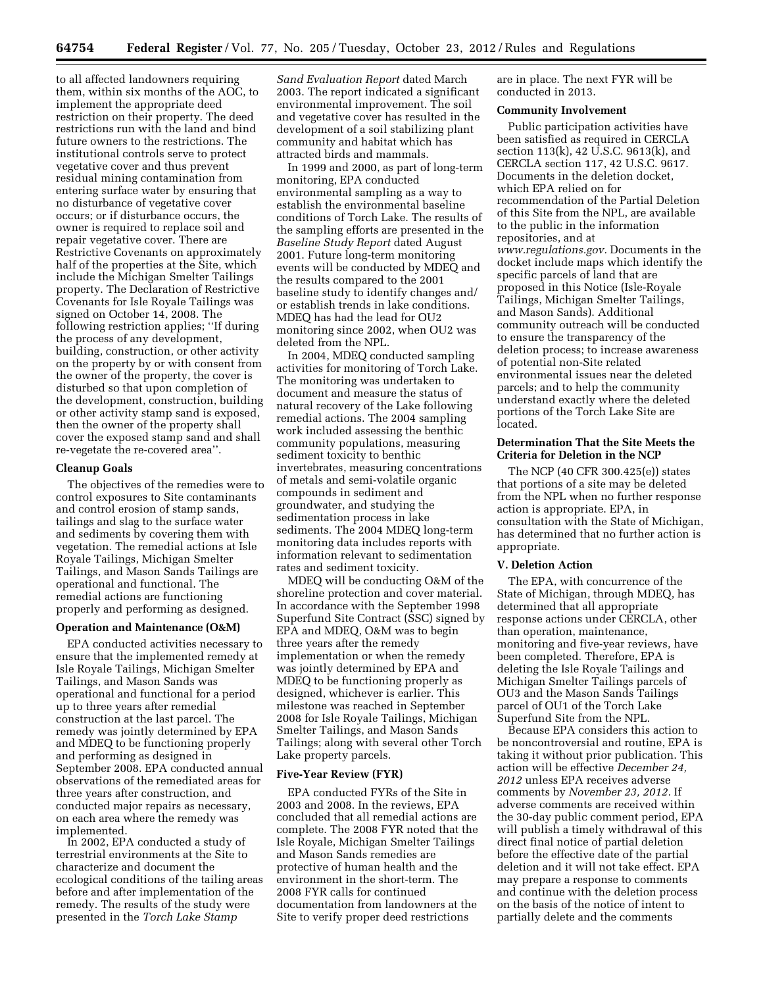to all affected landowners requiring them, within six months of the AOC, to implement the appropriate deed restriction on their property. The deed restrictions run with the land and bind future owners to the restrictions. The institutional controls serve to protect vegetative cover and thus prevent residual mining contamination from entering surface water by ensuring that no disturbance of vegetative cover occurs; or if disturbance occurs, the owner is required to replace soil and repair vegetative cover. There are Restrictive Covenants on approximately half of the properties at the Site, which include the Michigan Smelter Tailings property. The Declaration of Restrictive Covenants for Isle Royale Tailings was signed on October 14, 2008. The following restriction applies; ''If during the process of any development, building, construction, or other activity on the property by or with consent from the owner of the property, the cover is disturbed so that upon completion of the development, construction, building or other activity stamp sand is exposed, then the owner of the property shall cover the exposed stamp sand and shall re-vegetate the re-covered area''.

#### **Cleanup Goals**

The objectives of the remedies were to control exposures to Site contaminants and control erosion of stamp sands, tailings and slag to the surface water and sediments by covering them with vegetation. The remedial actions at Isle Royale Tailings, Michigan Smelter Tailings, and Mason Sands Tailings are operational and functional. The remedial actions are functioning properly and performing as designed.

#### **Operation and Maintenance (O&M)**

EPA conducted activities necessary to ensure that the implemented remedy at Isle Royale Tailings, Michigan Smelter Tailings, and Mason Sands was operational and functional for a period up to three years after remedial construction at the last parcel. The remedy was jointly determined by EPA and MDEQ to be functioning properly and performing as designed in September 2008. EPA conducted annual observations of the remediated areas for three years after construction, and conducted major repairs as necessary, on each area where the remedy was implemented.

In 2002, EPA conducted a study of terrestrial environments at the Site to characterize and document the ecological conditions of the tailing areas before and after implementation of the remedy. The results of the study were presented in the *Torch Lake Stamp* 

*Sand Evaluation Report* dated March 2003. The report indicated a significant environmental improvement. The soil and vegetative cover has resulted in the development of a soil stabilizing plant community and habitat which has attracted birds and mammals.

In 1999 and 2000, as part of long-term monitoring, EPA conducted environmental sampling as a way to establish the environmental baseline conditions of Torch Lake. The results of the sampling efforts are presented in the *Baseline Study Report* dated August 2001. Future long-term monitoring events will be conducted by MDEQ and the results compared to the 2001 baseline study to identify changes and/ or establish trends in lake conditions. MDEQ has had the lead for OU2 monitoring since 2002, when OU2 was deleted from the NPL.

In 2004, MDEQ conducted sampling activities for monitoring of Torch Lake. The monitoring was undertaken to document and measure the status of natural recovery of the Lake following remedial actions. The 2004 sampling work included assessing the benthic community populations, measuring sediment toxicity to benthic invertebrates, measuring concentrations of metals and semi-volatile organic compounds in sediment and groundwater, and studying the sedimentation process in lake sediments. The 2004 MDEQ long-term monitoring data includes reports with information relevant to sedimentation rates and sediment toxicity.

MDEQ will be conducting O&M of the shoreline protection and cover material. In accordance with the September 1998 Superfund Site Contract (SSC) signed by EPA and MDEQ, O&M was to begin three years after the remedy implementation or when the remedy was jointly determined by EPA and MDEQ to be functioning properly as designed, whichever is earlier. This milestone was reached in September 2008 for Isle Royale Tailings, Michigan Smelter Tailings, and Mason Sands Tailings; along with several other Torch Lake property parcels.

### **Five-Year Review (FYR)**

EPA conducted FYRs of the Site in 2003 and 2008. In the reviews, EPA concluded that all remedial actions are complete. The 2008 FYR noted that the Isle Royale, Michigan Smelter Tailings and Mason Sands remedies are protective of human health and the environment in the short-term. The 2008 FYR calls for continued documentation from landowners at the Site to verify proper deed restrictions

are in place. The next FYR will be conducted in 2013.

#### **Community Involvement**

Public participation activities have been satisfied as required in CERCLA section 113(k), 42 U.S.C. 9613(k), and CERCLA section 117, 42 U.S.C. 9617. Documents in the deletion docket, which EPA relied on for recommendation of the Partial Deletion of this Site from the NPL, are available to the public in the information repositories, and at *[www.regulations.gov.](http://www.regulations.gov)* Documents in the docket include maps which identify the specific parcels of land that are proposed in this Notice (Isle-Royale Tailings, Michigan Smelter Tailings, and Mason Sands). Additional community outreach will be conducted to ensure the transparency of the deletion process; to increase awareness of potential non-Site related environmental issues near the deleted parcels; and to help the community understand exactly where the deleted portions of the Torch Lake Site are located.

### **Determination That the Site Meets the Criteria for Deletion in the NCP**

The NCP (40 CFR 300.425(e)) states that portions of a site may be deleted from the NPL when no further response action is appropriate. EPA, in consultation with the State of Michigan, has determined that no further action is appropriate.

### **V. Deletion Action**

The EPA, with concurrence of the State of Michigan, through MDEQ, has determined that all appropriate response actions under CERCLA, other than operation, maintenance, monitoring and five-year reviews, have been completed. Therefore, EPA is deleting the Isle Royale Tailings and Michigan Smelter Tailings parcels of OU3 and the Mason Sands Tailings parcel of OU1 of the Torch Lake Superfund Site from the NPL.

Because EPA considers this action to be noncontroversial and routine, EPA is taking it without prior publication. This action will be effective *December 24, 2012* unless EPA receives adverse comments by *November 23, 2012.* If adverse comments are received within the 30-day public comment period, EPA will publish a timely withdrawal of this direct final notice of partial deletion before the effective date of the partial deletion and it will not take effect. EPA may prepare a response to comments and continue with the deletion process on the basis of the notice of intent to partially delete and the comments